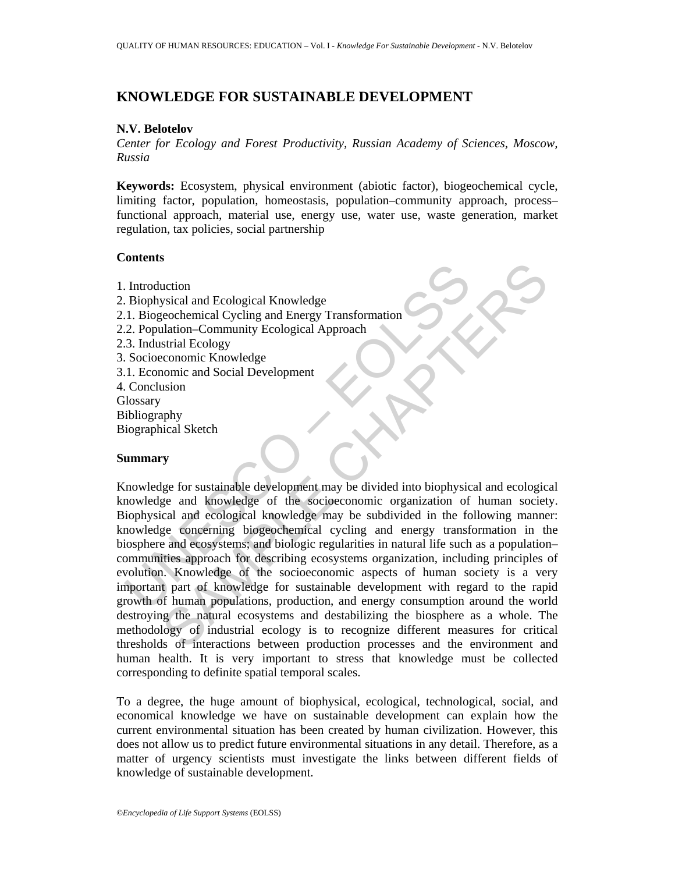# **KNOWLEDGE FOR SUSTAINABLE DEVELOPMENT**

## **N.V. Belotelov**

*Center for Ecology and Forest Productivity, Russian Academy of Sciences, Moscow, Russia* 

**Keywords:** Ecosystem, physical environment (abiotic factor), biogeochemical cycle, limiting factor, population, homeostasis, population–community approach, process– functional approach, material use, energy use, water use, waste generation, market regulation, tax policies, social partnership

## **Contents**

1. Introduction 2. Biophysical and Ecological Knowledge 2.1. Biogeochemical Cycling and Energy Transformation 2.2. Population–Community Ecological Approach 2.3. Industrial Ecology 3. Socioeconomic Knowledge 3.1. Economic and Social Development 4. Conclusion **Glossary** Bibliography Biographical Sketch

#### **Summary**

Introduction<br>
1. Introduction<br>
2. Biogeochemical Cycling and Energy Transformation<br>
1. Biogeochemical Cycling and Energy Transformation<br>
2. Population–Community Ecological Approach<br>
3. Industrial Ecology<br>
3. Socioeconomic Explorained and Ecological Knowledge<br>
sysical and Ecological Knowledge<br>
ecochemical Cycling and Energy Transformation<br>
strind Ecology<br>
scalarities Chapter Community Ecological Approach<br>
sconomic Knowledge<br>
sconomic Knowled Knowledge for sustainable development may be divided into biophysical and ecological knowledge and knowledge of the socioeconomic organization of human society. Biophysical and ecological knowledge may be subdivided in the following manner: knowledge concerning biogeochemical cycling and energy transformation in the biosphere and ecosystems; and biologic regularities in natural life such as a population– communities approach for describing ecosystems organization, including principles of evolution. Knowledge of the socioeconomic aspects of human society is a very important part of knowledge for sustainable development with regard to the rapid growth of human populations, production, and energy consumption around the world destroying the natural ecosystems and destabilizing the biosphere as a whole. The methodology of industrial ecology is to recognize different measures for critical thresholds of interactions between production processes and the environment and human health. It is very important to stress that knowledge must be collected corresponding to definite spatial temporal scales.

To a degree, the huge amount of biophysical, ecological, technological, social, and economical knowledge we have on sustainable development can explain how the current environmental situation has been created by human civilization. However, this does not allow us to predict future environmental situations in any detail. Therefore, as a matter of urgency scientists must investigate the links between different fields of knowledge of sustainable development.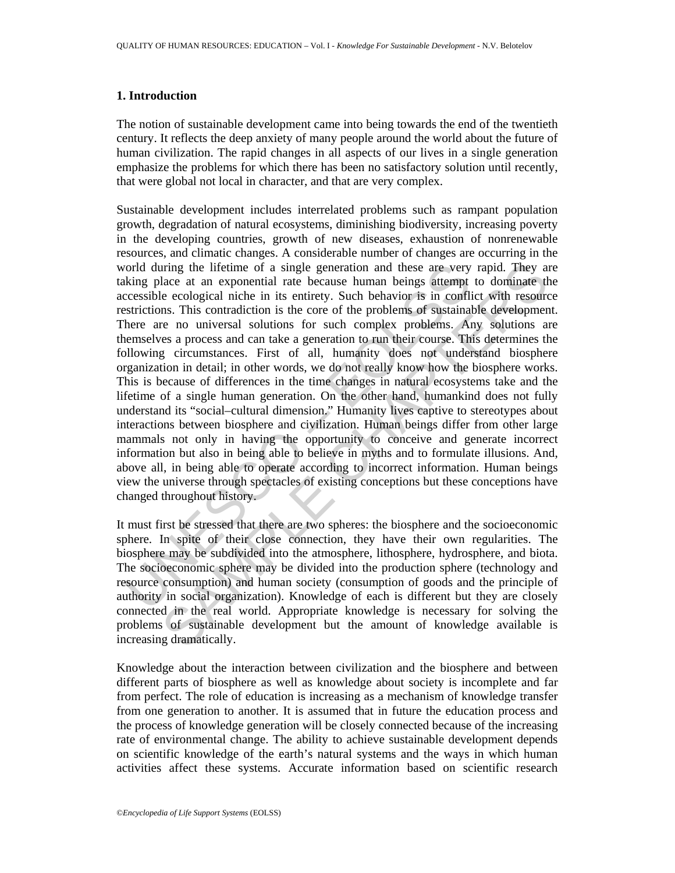## **1. Introduction**

The notion of sustainable development came into being towards the end of the twentieth century. It reflects the deep anxiety of many people around the world about the future of human civilization. The rapid changes in all aspects of our lives in a single generation emphasize the problems for which there has been no satisfactory solution until recently, that were global not local in character, and that are very complex.

orld during the lifetime of a single generation and these are very<br>king place at an exponential rate because humn beings attempt<br>crossislie coological niche in its entirety. Such behavior is in conflictions. This contradic iring the lifetime of a single generation and these are very rapid. They at a case of an exponential rate because human beings attempt to dominate the correlate a cacological niche in its entrirety. Such behavior is in con Sustainable development includes interrelated problems such as rampant population growth, degradation of natural ecosystems, diminishing biodiversity, increasing poverty in the developing countries, growth of new diseases, exhaustion of nonrenewable resources, and climatic changes. A considerable number of changes are occurring in the world during the lifetime of a single generation and these are very rapid. They are taking place at an exponential rate because human beings attempt to dominate the accessible ecological niche in its entirety. Such behavior is in conflict with resource restrictions. This contradiction is the core of the problems of sustainable development. There are no universal solutions for such complex problems. Any solutions are themselves a process and can take a generation to run their course. This determines the following circumstances. First of all, humanity does not understand biosphere organization in detail; in other words, we do not really know how the biosphere works. This is because of differences in the time changes in natural ecosystems take and the lifetime of a single human generation. On the other hand, humankind does not fully understand its "social–cultural dimension." Humanity lives captive to stereotypes about interactions between biosphere and civilization. Human beings differ from other large mammals not only in having the opportunity to conceive and generate incorrect information but also in being able to believe in myths and to formulate illusions. And, above all, in being able to operate according to incorrect information. Human beings view the universe through spectacles of existing conceptions but these conceptions have changed throughout history.

It must first be stressed that there are two spheres: the biosphere and the socioeconomic sphere. In spite of their close connection, they have their own regularities. The biosphere may be subdivided into the atmosphere, lithosphere, hydrosphere, and biota. The socioeconomic sphere may be divided into the production sphere (technology and resource consumption) and human society (consumption of goods and the principle of authority in social organization). Knowledge of each is different but they are closely connected in the real world. Appropriate knowledge is necessary for solving the problems of sustainable development but the amount of knowledge available is increasing dramatically.

Knowledge about the interaction between civilization and the biosphere and between different parts of biosphere as well as knowledge about society is incomplete and far from perfect. The role of education is increasing as a mechanism of knowledge transfer from one generation to another. It is assumed that in future the education process and the process of knowledge generation will be closely connected because of the increasing rate of environmental change. The ability to achieve sustainable development depends on scientific knowledge of the earth's natural systems and the ways in which human activities affect these systems. Accurate information based on scientific research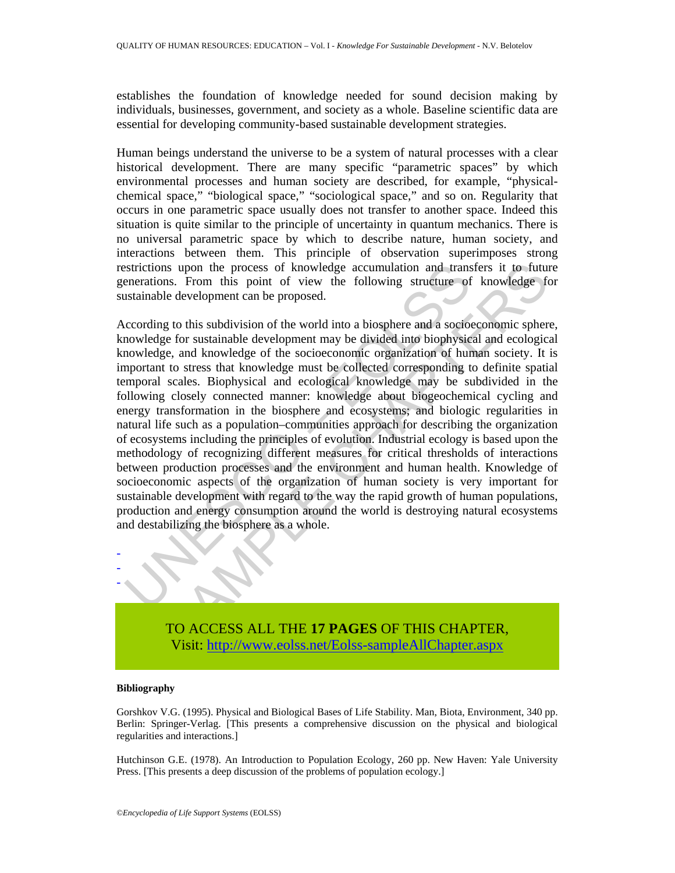establishes the foundation of knowledge needed for sound decision making by individuals, businesses, government, and society as a whole. Baseline scientific data are essential for developing community-based sustainable development strategies.

Human beings understand the universe to be a system of natural processes with a clear historical development. There are many specific "parametric spaces" by which environmental processes and human society are described, for example, "physicalchemical space," "biological space," "sociological space," and so on. Regularity that occurs in one parametric space usually does not transfer to another space. Indeed this situation is quite similar to the principle of uncertainty in quantum mechanics. There is no universal parametric space by which to describe nature, human society, and interactions between them. This principle of observation superimposes strong restrictions upon the process of knowledge accumulation and transfers it to future generations. From this point of view the following structure of knowledge for sustainable development can be proposed.

estrictions upon the process of knowledge accumulation and trans<br>enerations. From this point of view the following structure of<br>ustainable development can be proposed.<br>ccording to this subdivision of the world into a biosp Ins upon the process of knowledge accumulation and transfers it to future the collocomeration of view the following structure of knowledge for sustainable development can be proposed.<br>
In geo this subdivision of the world According to this subdivision of the world into a biosphere and a socioeconomic sphere, knowledge for sustainable development may be divided into biophysical and ecological knowledge, and knowledge of the socioeconomic organization of human society. It is important to stress that knowledge must be collected corresponding to definite spatial temporal scales. Biophysical and ecological knowledge may be subdivided in the following closely connected manner: knowledge about biogeochemical cycling and energy transformation in the biosphere and ecosystems; and biologic regularities in natural life such as a population–communities approach for describing the organization of ecosystems including the principles of evolution. Industrial ecology is based upon the methodology of recognizing different measures for critical thresholds of interactions between production processes and the environment and human health. Knowledge of socioeconomic aspects of the organization of human society is very important for sustainable development with regard to the way the rapid growth of human populations, production and energy consumption around the world is destroying natural ecosystems and destabilizing the biosphere as a whole.



TO ACCESS ALL THE **17 PAGES** OF THIS CHAPTER, Visit: http://www.eolss.net/Eolss-sampleAllChapter.aspx

#### **Bibliography**

Gorshkov V.G. (1995). Physical and Biological Bases of Life Stability. Man, Biota, Environment, 340 pp. Berlin: Springer-Verlag. [This presents a comprehensive discussion on the physical and biological regularities and interactions.]

Hutchinson G.E. (1978). An Introduction to Population Ecology, 260 pp. New Haven: Yale University Press. [This presents a deep discussion of the problems of population ecology.]